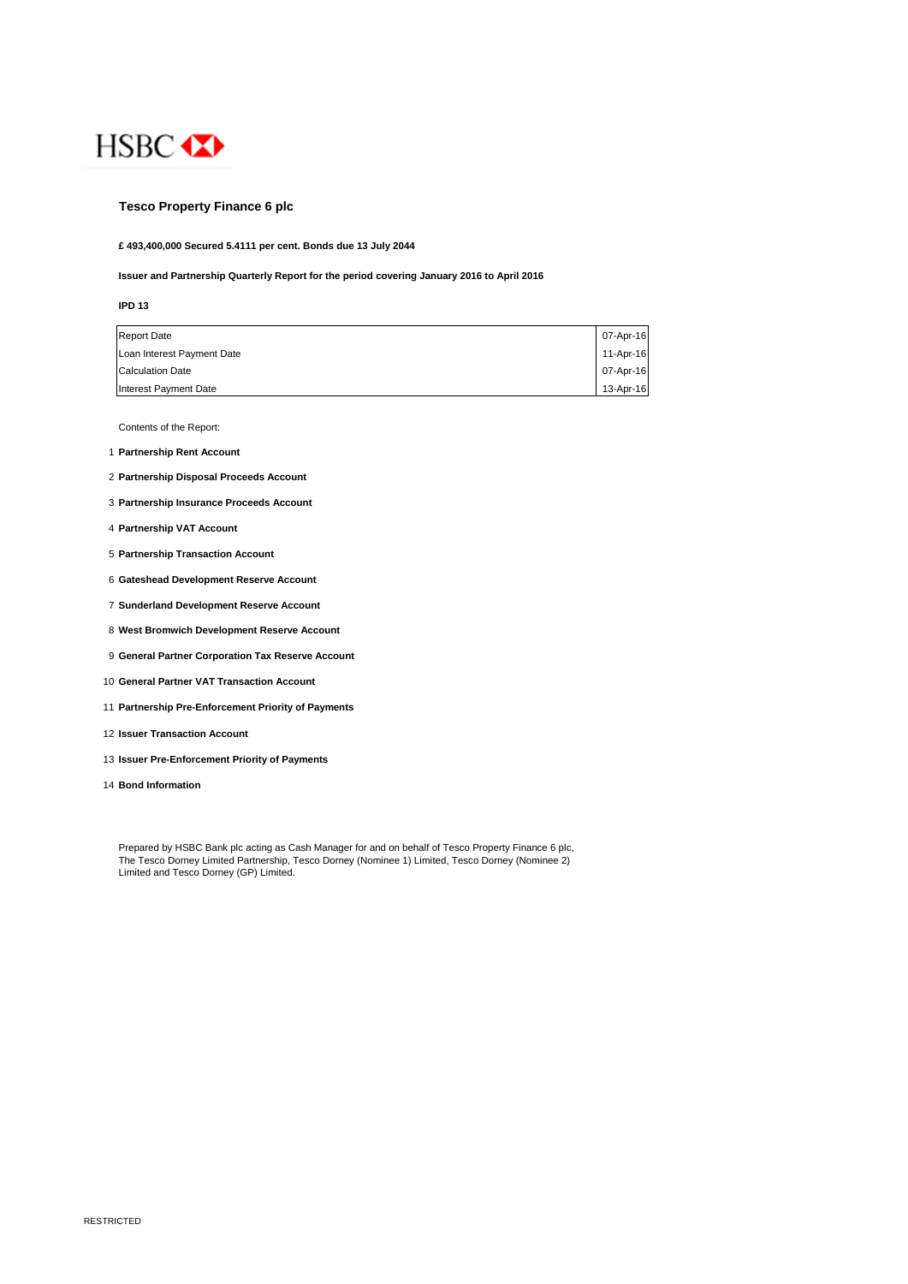

### **Tesco Property Finance 6 plc**

**£ 493,400,000 Secured 5.4111 per cent. Bonds due 13 July 2044**

### **Issuer and Partnership Quarterly Report for the period covering January 2016 to April 2016**

### **IPD 13**

| <b>Report Date</b>           | 07-Apr-16 |
|------------------------------|-----------|
| Loan Interest Payment Date   | 11-Apr-16 |
| <b>Calculation Date</b>      | 07-Apr-16 |
| <b>Interest Payment Date</b> | 13-Apr-16 |

Contents of the Report:

- 1 **Partnership Rent Account**
- 2 **Partnership Disposal Proceeds Account**
- 3 **Partnership Insurance Proceeds Account**
- 4 **Partnership VAT Account**
- 5 **Partnership Transaction Account**
- 6 **Gateshead Development Reserve Account**
- 7 **Sunderland Development Reserve Account**
- 8 **West Bromwich Development Reserve Account**
- 9 **General Partner Corporation Tax Reserve Account**
- 10 **General Partner VAT Transaction Account**
- 11 **Partnership Pre-Enforcement Priority of Payments**
- 12 **Issuer Transaction Account**
- 13 **Issuer Pre-Enforcement Priority of Payments**
- 14 **Bond Information**

Prepared by HSBC Bank plc acting as Cash Manager for and on behalf of Tesco Property Finance 6 plc, The Tesco Dorney Limited Partnership, Tesco Dorney (Nominee 1) Limited, Tesco Dorney (Nominee 2) Limited and Tesco Dorney (GP) Limited.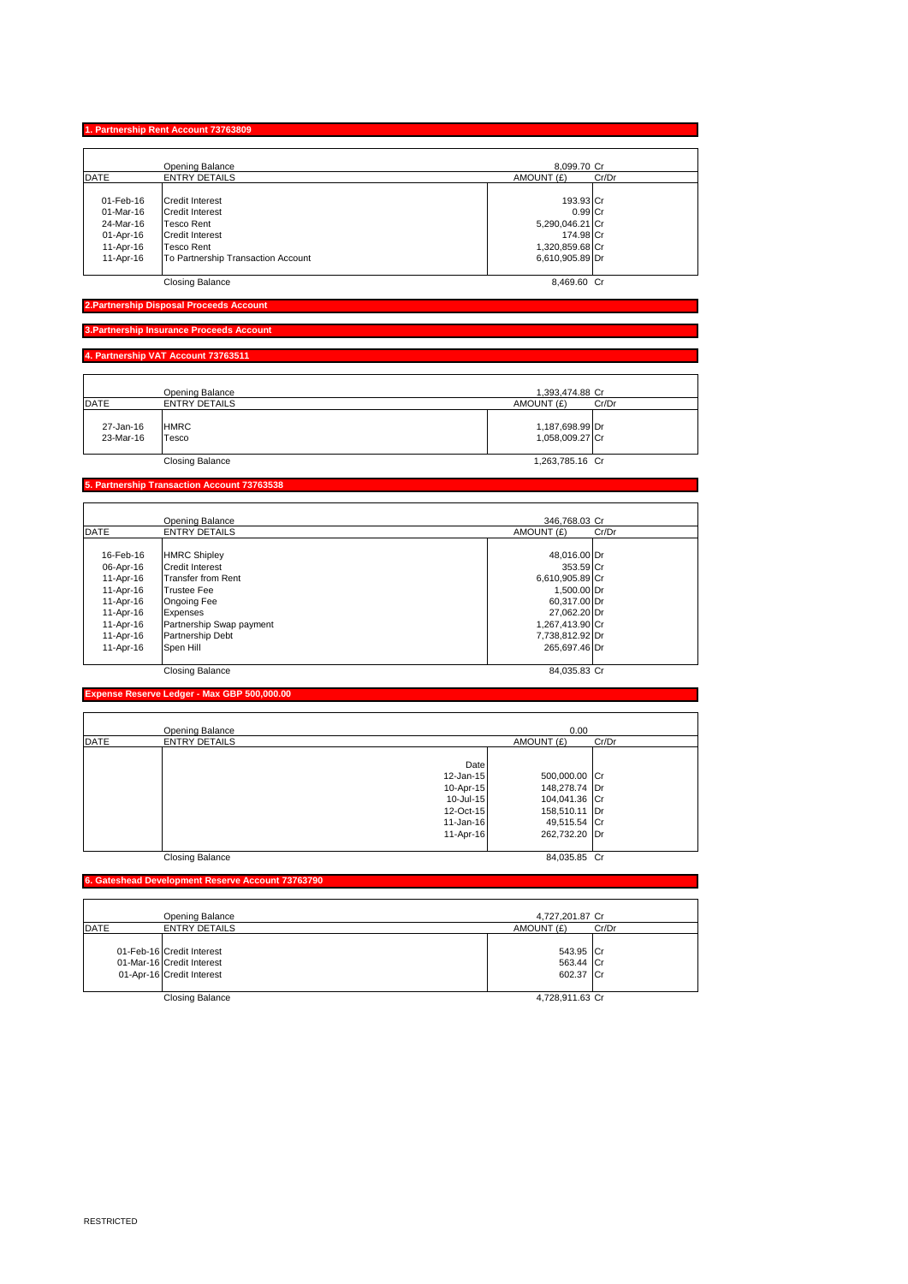|             | 4. Partnership VAT Account 73763511 |  |
|-------------|-------------------------------------|--|
|             |                                     |  |
|             | Opening Balance                     |  |
| <b>DATE</b> | <b>ENTRY DETAILS</b>                |  |

27-Jan-16 HMRC 1,187,698.99 Dr 23-Mar-16 Tesco 1,058,009.27 Cr newspaper and the control of the control of the control of the control of the control of the control of the control of the control of the control of the control of the control of the control of the control of the control o

Opening Balance 8,099.70 Cr DATE ENTRY DETAILS AMOUNT (£) Cr/Dr

01-Feb-16 Credit Interest 193.93 Cr<br>01-Mar-16 Credit Interest<br>24-Mar-16 Tesco Rent 6.99 Credit Interest 193.93 Cr

01-Apr-16 Credit Interest 174.98 Cr 11-Apr-16 Tesco Rent 1,320,859.68 Cr 11-Apr-16 To Partnership Transaction Account 6,610,905.89 Dr

Closing Balance 8,469.60 Cr

### **Partnership Transaction Account 737635**

**1. Partnership Rent Account 73763809**

**2. Partnership Disposal Proceeds** 

|             | <b>Opening Balance</b>    | 346,768,03 Cr       |
|-------------|---------------------------|---------------------|
| <b>DATE</b> | <b>ENTRY DETAILS</b>      | AMOUNT (£)<br>Cr/Dr |
| 16-Feb-16   | <b>HMRC Shipley</b>       | 48,016.00 Dr        |
| 06-Apr-16   | Credit Interest           | 353.59 Cr           |
| 11-Apr-16   | <b>Transfer from Rent</b> | 6,610,905.89 Cr     |
| 11-Apr-16   | <b>Trustee Fee</b>        | 1,500.00 Dr         |
| 11-Apr-16   | Ongoing Fee               | 60,317.00 Dr        |
| 11-Apr-16   | Expenses                  | 27,062.20 Dr        |
| 11-Apr-16   | Partnership Swap payment  | 1,267,413.90 Cr     |
| 11-Apr-16   | Partnership Debt          | 7,738,812.92 Dr     |
| 11-Apr-16   | Spen Hill                 | 265.697.46 Dr       |
|             | <b>Closing Balance</b>    | 84.035.83 Cr        |

# **Expense Reserve Ledger - Max GBP 500,000.00**

|             | Opening Balance        |               | 0.00          |       |
|-------------|------------------------|---------------|---------------|-------|
| <b>DATE</b> | <b>ENTRY DETAILS</b>   |               | AMOUNT (£)    | Cr/Dr |
|             |                        |               |               |       |
|             |                        | Date          |               |       |
|             |                        | $12$ -Jan-15  | 500,000.00 Cr |       |
|             |                        | 10-Apr-15     | 148,278.74 Dr |       |
|             |                        | 10-Jul-15     | 104,041.36 Cr |       |
|             |                        | 12-Oct-15     | 158,510.11 Dr |       |
|             |                        | $11 - Jan-16$ | 49,515.54 Cr  |       |
|             |                        | 11-Apr-16     | 262,732.20 Dr |       |
|             | <b>Closing Balance</b> |               | 84,035.85 Cr  |       |

## **6. Gateshead Development Reserve Account 7376379**

|             | Opening Balance                                                                     | 4,727,201.87 Cr                     |       |
|-------------|-------------------------------------------------------------------------------------|-------------------------------------|-------|
| <b>DATE</b> | <b>ENTRY DETAILS</b>                                                                | AMOUNT (£)                          | Cr/Dr |
|             | 01-Feb-16 Credit Interest<br>01-Mar-16 Credit Interest<br>01-Apr-16 Credit Interest | 543.95 Cr<br>563.44 Cr<br>602.37 Cr |       |
|             | Closing Balance                                                                     | 4,728,911.63 Cr                     |       |

1,393,474.88 Cr<br>UNT (£) Cr/Dr

AMOUNT (£)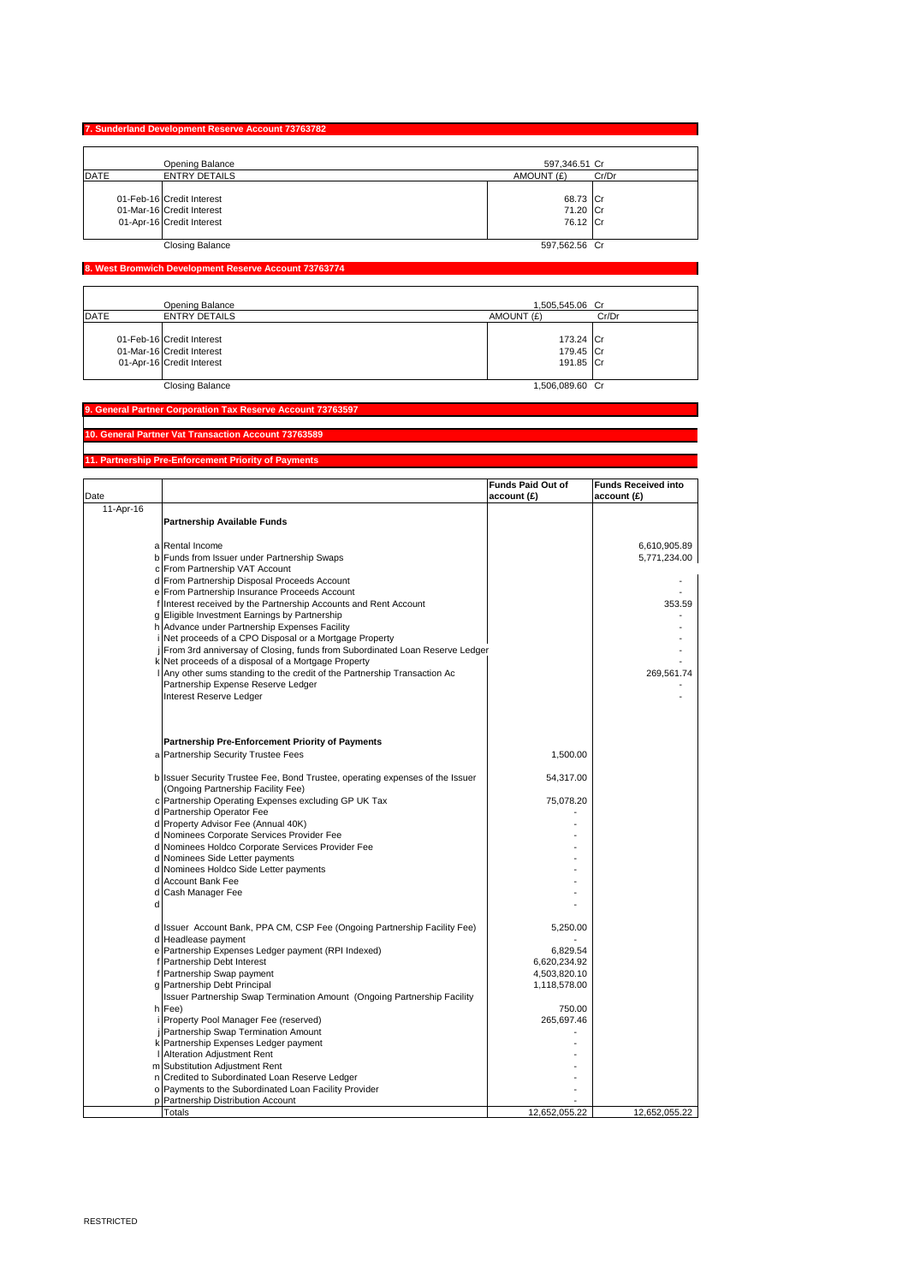|             | 7. Sunderland Development Reserve Account 73763782                                  |                                  |       |
|-------------|-------------------------------------------------------------------------------------|----------------------------------|-------|
|             | Opening Balance                                                                     | 597,346.51 Cr                    |       |
| <b>DATE</b> | <b>ENTRY DETAILS</b>                                                                | AMOUNT (£)                       | Cr/Dr |
|             | 01-Feb-16 Credit Interest<br>01-Mar-16 Credit Interest<br>01-Apr-16 Credit Interest | 68.73 Cr<br>71.20 Cr<br>76.12 Cr |       |
|             | <b>Closing Balance</b>                                                              | 597.562.56 Cr                    |       |

# **8. West Bromwich Development Reserve Account 73763774**

|             | Opening Balance                                                                     | 1.505.545.06 Cr                     |       |
|-------------|-------------------------------------------------------------------------------------|-------------------------------------|-------|
| <b>DATE</b> | <b>ENTRY DETAILS</b>                                                                | AMOUNT (£)                          | Cr/Dr |
|             | 01-Feb-16 Credit Interest<br>01-Mar-16 Credit Interest<br>01-Apr-16 Credit Interest | 173.24 Cr<br>179.45 Cr<br>191.85 Cr |       |
|             | Closing Balance                                                                     | 1,506,089.60 Cr                     |       |

### **9. General Partner Corporation Tax Reserve Account 73763597**

### **10. General Partner Vat Transaction Account 73763589**

## **11. Partnership Pre-Enforcement Priority of Payments**

|           |                                                                                                               | <b>Funds Paid Out of</b> | <b>Funds Received into</b> |
|-----------|---------------------------------------------------------------------------------------------------------------|--------------------------|----------------------------|
| Date      |                                                                                                               | account (£)              | account (£)                |
| 11-Apr-16 |                                                                                                               |                          |                            |
|           | <b>Partnership Available Funds</b>                                                                            |                          |                            |
|           |                                                                                                               |                          |                            |
|           | a Rental Income                                                                                               |                          | 6,610,905.89               |
|           | b Funds from Issuer under Partnership Swaps                                                                   |                          | 5,771,234.00               |
|           | c From Partnership VAT Account                                                                                |                          |                            |
|           | d From Partnership Disposal Proceeds Account                                                                  |                          |                            |
|           | e From Partnership Insurance Proceeds Account                                                                 |                          |                            |
|           | f Interest received by the Partnership Accounts and Rent Account                                              |                          | 353.59                     |
|           | g Eligible Investment Earnings by Partnership                                                                 |                          |                            |
|           | h Advance under Partnership Expenses Facility                                                                 |                          |                            |
|           | i Net proceeds of a CPO Disposal or a Mortgage Property                                                       |                          |                            |
|           | From 3rd anniversay of Closing, funds from Subordinated Loan Reserve Ledger                                   |                          |                            |
|           | k Net proceeds of a disposal of a Mortgage Property                                                           |                          |                            |
|           | Any other sums standing to the credit of the Partnership Transaction Ac<br>Partnership Expense Reserve Ledger |                          | 269,561.74                 |
|           | Interest Reserve Ledger                                                                                       |                          |                            |
|           |                                                                                                               |                          |                            |
|           |                                                                                                               |                          |                            |
|           |                                                                                                               |                          |                            |
|           | <b>Partnership Pre-Enforcement Priority of Payments</b>                                                       |                          |                            |
|           | a Partnership Security Trustee Fees                                                                           | 1,500.00                 |                            |
|           |                                                                                                               |                          |                            |
|           | b Issuer Security Trustee Fee, Bond Trustee, operating expenses of the Issuer                                 | 54,317.00                |                            |
|           | (Ongoing Partnership Facility Fee)                                                                            |                          |                            |
|           | c Partnership Operating Expenses excluding GP UK Tax                                                          | 75,078.20                |                            |
|           | d Partnership Operator Fee                                                                                    |                          |                            |
|           | d Property Advisor Fee (Annual 40K)                                                                           |                          |                            |
|           | d Nominees Corporate Services Provider Fee                                                                    |                          |                            |
|           | d Nominees Holdco Corporate Services Provider Fee                                                             |                          |                            |
|           | d Nominees Side Letter payments                                                                               |                          |                            |
|           | d Nominees Holdco Side Letter payments                                                                        |                          |                            |
|           | d Account Bank Fee                                                                                            |                          |                            |
|           | d Cash Manager Fee                                                                                            |                          |                            |
| d         |                                                                                                               |                          |                            |
|           |                                                                                                               |                          |                            |
|           | d Issuer Account Bank, PPA CM, CSP Fee (Ongoing Partnership Facility Fee)                                     | 5,250.00                 |                            |
|           | d Headlease payment                                                                                           |                          |                            |
|           | e Partnership Expenses Ledger payment (RPI Indexed)<br>f Partnership Debt Interest                            | 6,829.54<br>6,620,234.92 |                            |
|           | f Partnership Swap payment                                                                                    | 4,503,820.10             |                            |
|           | Partnership Debt Principal                                                                                    | 1,118,578.00             |                            |
|           | Issuer Partnership Swap Termination Amount (Ongoing Partnership Facility                                      |                          |                            |
|           | h Fee)                                                                                                        | 750.00                   |                            |
|           | Property Pool Manager Fee (reserved)                                                                          | 265,697.46               |                            |
|           | j Partnership Swap Termination Amount                                                                         |                          |                            |
|           | k Partnership Expenses Ledger payment                                                                         |                          |                            |
|           | Alteration Adjustment Rent                                                                                    |                          |                            |
|           | m Substitution Adjustment Rent                                                                                |                          |                            |
|           | n Credited to Subordinated Loan Reserve Ledger                                                                |                          |                            |
|           | o Payments to the Subordinated Loan Facility Provider                                                         |                          |                            |
|           | p Partnership Distribution Account                                                                            |                          |                            |
|           | Totals                                                                                                        | 12,652,055.22            | 12,652,055.22              |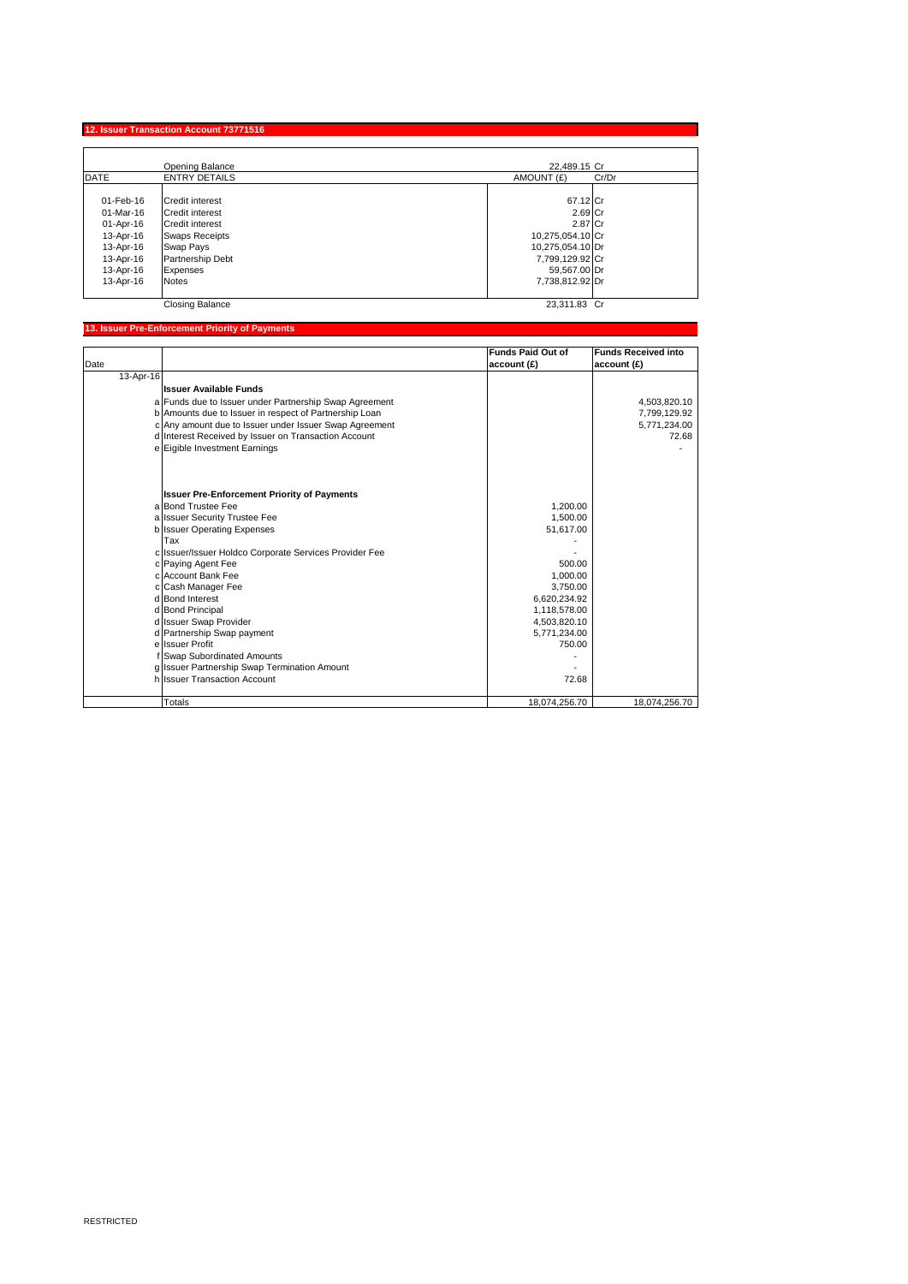| 12. Issuer Transaction Account 73771516 |  |
|-----------------------------------------|--|
|-----------------------------------------|--|

|           | Opening Balance        | 22.489.15 Cr        |
|-----------|------------------------|---------------------|
| DATE      | <b>ENTRY DETAILS</b>   | AMOUNT (£)<br>Cr/Dr |
| 01-Feb-16 | Credit interest        | 67.12 Cr            |
| 01-Mar-16 | <b>Credit interest</b> | 2.69 Cr             |
| 01-Apr-16 | <b>Credit interest</b> | 2.87 Cr             |
| 13-Apr-16 | <b>Swaps Receipts</b>  | 10,275,054.10 Cr    |
| 13-Apr-16 | Swap Pays              | 10,275,054.10 Dr    |
| 13-Apr-16 | Partnership Debt       | 7,799,129.92 Cr     |
| 13-Apr-16 | Expenses               | 59,567.00 Dr        |
| 13-Apr-16 | <b>Notes</b>           | 7.738.812.92 Dr     |
|           | <b>Closing Balance</b> | 23.311.83 Cr        |

## **13. Issuer Pre-Enforcement Priority of Payments**

|           |                                                        | <b>Funds Paid Out of</b> | <b>Funds Received into</b> |
|-----------|--------------------------------------------------------|--------------------------|----------------------------|
| Date      |                                                        | account (£)              | account(E)                 |
| 13-Apr-16 |                                                        |                          |                            |
|           | <b>Issuer Available Funds</b>                          |                          |                            |
|           | a Funds due to Issuer under Partnership Swap Agreement |                          | 4,503,820.10               |
|           | b Amounts due to Issuer in respect of Partnership Loan |                          | 7,799,129.92               |
|           | c Any amount due to Issuer under Issuer Swap Agreement |                          | 5,771,234.00               |
|           | d Interest Received by Issuer on Transaction Account   |                          | 72.68                      |
|           | e Eigible Investment Earnings                          |                          |                            |
|           |                                                        |                          |                            |
|           |                                                        |                          |                            |
|           | <b>Issuer Pre-Enforcement Priority of Payments</b>     |                          |                            |
|           | a Bond Trustee Fee                                     | 1.200.00                 |                            |
|           | a Issuer Security Trustee Fee                          | 1.500.00                 |                            |
|           | b Issuer Operating Expenses                            | 51,617.00                |                            |
|           | Tax                                                    |                          |                            |
|           | c Issuer/Issuer Holdco Corporate Services Provider Fee |                          |                            |
|           | c Paying Agent Fee                                     | 500.00                   |                            |
|           | c Account Bank Fee                                     | 1,000.00                 |                            |
|           | c Cash Manager Fee                                     | 3.750.00                 |                            |
|           | d Bond Interest                                        | 6,620,234.92             |                            |
|           | d Bond Principal                                       | 1,118,578.00             |                            |
|           | d Issuer Swap Provider                                 | 4,503,820.10             |                            |
|           | d Partnership Swap payment                             | 5,771,234.00             |                            |
|           | e Issuer Profit                                        | 750.00                   |                            |
|           | f Swap Subordinated Amounts                            |                          |                            |
|           | g Issuer Partnership Swap Termination Amount           |                          |                            |
|           | h Issuer Transaction Account                           | 72.68                    |                            |
|           |                                                        |                          |                            |
|           | <b>Totals</b>                                          | 18,074,256.70            | 18,074,256.70              |